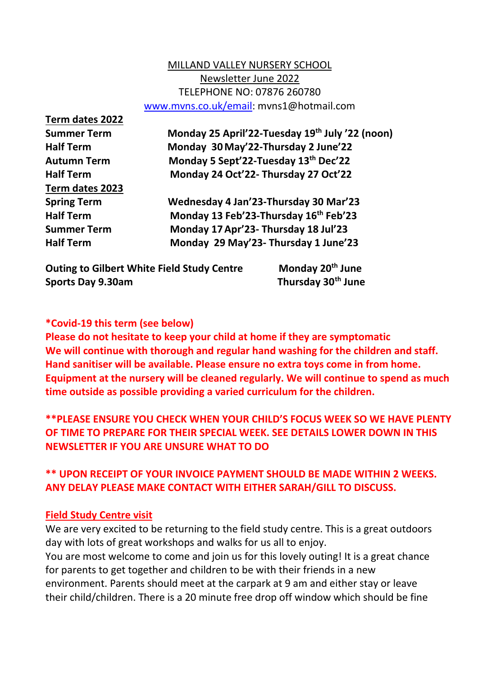#### MILLAND VALLEY NURSERY SCHOOL Newsletter June 2022 TELEPHONE NO: 07876 260780 [www.mvns.co.uk/email:](http://www.mvns.co.uk/email) mvns1@hotmail.com

**Term dates 2022 Term dates 2023**

**Summer Term Monday 25 April'22-Tuesday 19th July '22 (noon) Half Term Monday 30May'22-Thursday 2 June'22 Autumn Term Monday 5 Sept'22-Tuesday 13th Dec'22 Half Term Monday 24 Oct'22- Thursday 27 Oct'22**

**Spring Term Wednesday 4 Jan'23-Thursday 30 Mar'23 Half Term Monday 13 Feb'23-Thursday 16th Feb'23 Summer Term Monday 17Apr'23- Thursday 18 Jul'23 Half Term Monday 29 May'23- Thursday 1 June'23**

**Outing to Gilbert White Field Study Centre Monday 20th June Sports Day 9.30am Thursday 30th June**

#### **\*Covid-19 this term (see below)**

**Please do not hesitate to keep your child at home if they are symptomatic We will continue with thorough and regular hand washing for the children and staff. Hand sanitiser will be available. Please ensure no extra toys come in from home. Equipment at the nursery will be cleaned regularly. We will continue to spend as much time outside as possible providing a varied curriculum for the children.**

**\*\*PLEASE ENSURE YOU CHECK WHEN YOUR CHILD'S FOCUS WEEK SO WE HAVE PLENTY OF TIME TO PREPARE FOR THEIR SPECIAL WEEK. SEE DETAILS LOWER DOWN IN THIS NEWSLETTER IF YOU ARE UNSURE WHAT TO DO**

### **\*\* UPON RECEIPT OF YOUR INVOICE PAYMENT SHOULD BE MADE WITHIN 2 WEEKS. ANY DELAY PLEASE MAKE CONTACT WITH EITHER SARAH/GILL TO DISCUSS.**

#### **Field Study Centre visit**

We are very excited to be returning to the field study centre. This is a great outdoors day with lots of great workshops and walks for us all to enjoy.

You are most welcome to come and join us for this lovely outing! It is a great chance for parents to get together and children to be with their friends in a new environment. Parents should meet at the carpark at 9 am and either stay or leave their child/children. There is a 20 minute free drop off window which should be fine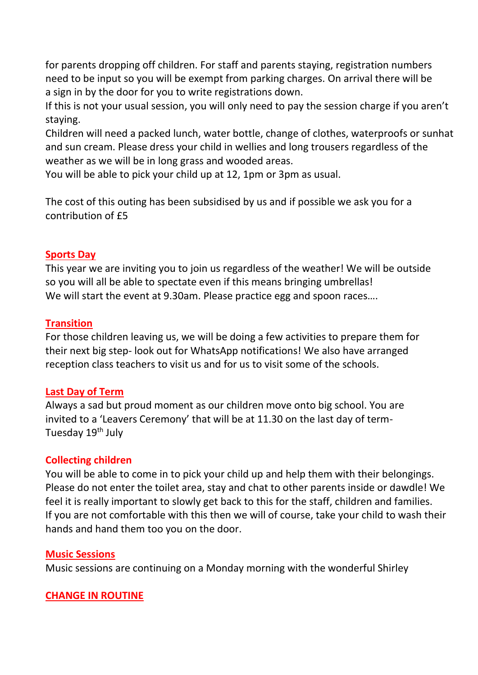for parents dropping off children. For staff and parents staying, registration numbers need to be input so you will be exempt from parking charges. On arrival there will be a sign in by the door for you to write registrations down.

If this is not your usual session, you will only need to pay the session charge if you aren't staying.

Children will need a packed lunch, water bottle, change of clothes, waterproofs or sunhat and sun cream. Please dress your child in wellies and long trousers regardless of the weather as we will be in long grass and wooded areas.

You will be able to pick your child up at 12, 1pm or 3pm as usual.

The cost of this outing has been subsidised by us and if possible we ask you for a contribution of £5

#### **Sports Day**

This year we are inviting you to join us regardless of the weather! We will be outside so you will all be able to spectate even if this means bringing umbrellas! We will start the event at 9.30am. Please practice egg and spoon races….

#### **Transition**

For those children leaving us, we will be doing a few activities to prepare them for their next big step- look out for WhatsApp notifications! We also have arranged reception class teachers to visit us and for us to visit some of the schools.

#### **Last Day of Term**

Always a sad but proud moment as our children move onto big school. You are invited to a 'Leavers Ceremony' that will be at 11.30 on the last day of term-Tuesday 19<sup>th</sup> July

### **Collecting children**

You will be able to come in to pick your child up and help them with their belongings. Please do not enter the toilet area, stay and chat to other parents inside or dawdle! We feel it is really important to slowly get back to this for the staff, children and families. If you are not comfortable with this then we will of course, take your child to wash their hands and hand them too you on the door.

### **Music Sessions**

Music sessions are continuing on a Monday morning with the wonderful Shirley

### **CHANGE IN ROUTINE**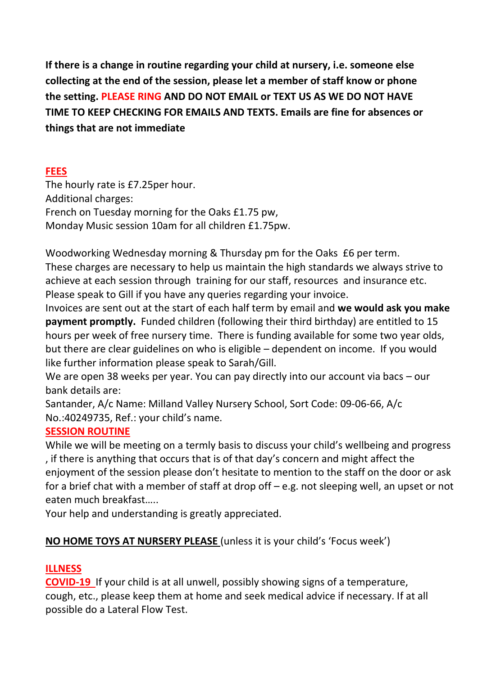**If there is a change in routine regarding your child at nursery, i.e. someone else collecting at the end of the session, please let a member of staff know or phone the setting. PLEASE RING AND DO NOT EMAIL or TEXT US AS WE DO NOT HAVE TIME TO KEEP CHECKING FOR EMAILS AND TEXTS. Emails are fine for absences or things that are not immediate**

### **FEES**

The hourly rate is £7.25per hour. Additional charges: French on Tuesday morning for the Oaks £1.75 pw, Monday Music session 10am for all children £1.75pw.

Woodworking Wednesday morning & Thursday pm for the Oaks £6 per term. These charges are necessary to help us maintain the high standards we always strive to achieve at each session through training for our staff, resources and insurance etc. Please speak to Gill if you have any queries regarding your invoice.

Invoices are sent out at the start of each half term by email and **we would ask you make payment promptly.** Funded children (following their third birthday) are entitled to 15 hours per week of free nursery time. There is funding available for some two year olds, but there are clear guidelines on who is eligible – dependent on income. If you would like further information please speak to Sarah/Gill.

We are open 38 weeks per year. You can pay directly into our account via bacs – our bank details are:

Santander, A/c Name: Milland Valley Nursery School, Sort Code: 09-06-66, A/c No.:40249735, Ref.: your child's name.

## **SESSION ROUTINE**

While we will be meeting on a termly basis to discuss your child's wellbeing and progress , if there is anything that occurs that is of that day's concern and might affect the enjoyment of the session please don't hesitate to mention to the staff on the door or ask for a brief chat with a member of staff at drop off – e.g. not sleeping well, an upset or not eaten much breakfast…..

Your help and understanding is greatly appreciated.

# **NO HOME TOYS AT NURSERY PLEASE** (unless it is your child's 'Focus week')

## **ILLNESS**

**COVID-19** If your child is at all unwell, possibly showing signs of a temperature, cough, etc., please keep them at home and seek medical advice if necessary. If at all possible do a Lateral Flow Test.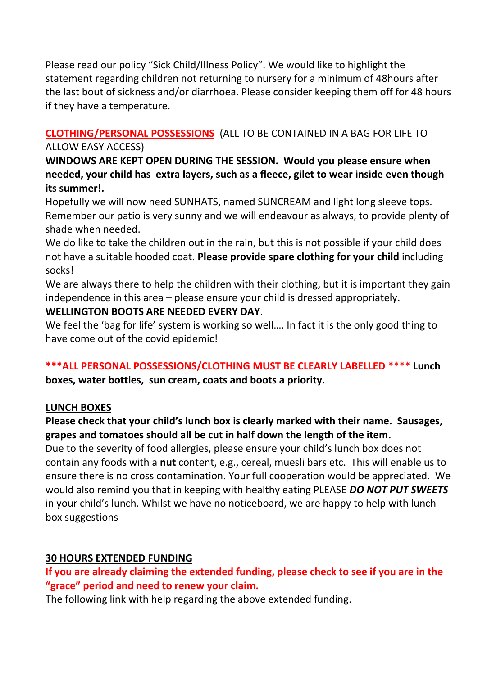Please read our policy "Sick Child/Illness Policy". We would like to highlight the statement regarding children not returning to nursery for a minimum of 48hours after the last bout of sickness and/or diarrhoea. Please consider keeping them off for 48 hours if they have a temperature.

# **CLOTHING/PERSONAL POSSESSIONS** (ALL TO BE CONTAINED IN A BAG FOR LIFE TO

#### ALLOW EASY ACCESS)

**WINDOWS ARE KEPT OPEN DURING THE SESSION. Would you please ensure when needed, your child has extra layers, such as a fleece, gilet to wear inside even though its summer!.**

Hopefully we will now need SUNHATS, named SUNCREAM and light long sleeve tops. Remember our patio is very sunny and we will endeavour as always, to provide plenty of shade when needed.

We do like to take the children out in the rain, but this is not possible if your child does not have a suitable hooded coat. **Please provide spare clothing for your child** including socks!

We are always there to help the children with their clothing, but it is important they gain independence in this area – please ensure your child is dressed appropriately.

### **WELLINGTON BOOTS ARE NEEDED EVERY DAY**.

We feel the 'bag for life' system is working so well…. In fact it is the only good thing to have come out of the covid epidemic!

### **\*\*\*ALL PERSONAL POSSESSIONS/CLOTHING MUST BE CLEARLY LABELLED** \*\*\*\* **Lunch boxes, water bottles, sun cream, coats and boots a priority.**

### **LUNCH BOXES**

### **Please check that your child's lunch box is clearly marked with their name. Sausages, grapes and tomatoes should all be cut in half down the length of the item.**

Due to the severity of food allergies, please ensure your child's lunch box does not contain any foods with a **nut** content, e.g., cereal, muesli bars etc. This will enable us to ensure there is no cross contamination. Your full cooperation would be appreciated. We would also remind you that in keeping with healthy eating PLEASE *DO NOT PUT SWEETS*  in your child's lunch. Whilst we have no noticeboard, we are happy to help with lunch box suggestions

## **30 HOURS EXTENDED FUNDING**

**If you are already claiming the extended funding, please check to see if you are in the "grace" period and need to renew your claim.**

The following link with help regarding the above extended funding.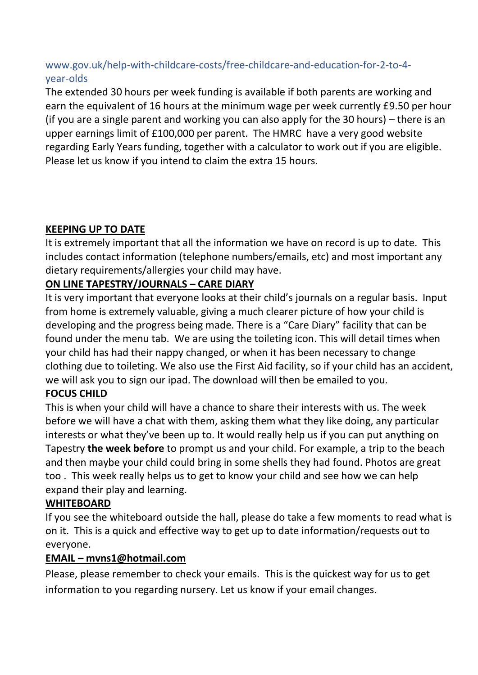## www.gov.uk/help-with-childcare-costs/free-childcare-and-education-for-2-to-4 year-olds

The extended 30 hours per week funding is available if both parents are working and earn the equivalent of 16 hours at the minimum wage per week currently £9.50 per hour (if you are a single parent and working you can also apply for the 30 hours) – there is an upper earnings limit of £100,000 per parent. The HMRC have a very good website regarding Early Years funding, together with a calculator to work out if you are eligible. Please let us know if you intend to claim the extra 15 hours.

# **KEEPING UP TO DATE**

It is extremely important that all the information we have on record is up to date. This includes contact information (telephone numbers/emails, etc) and most important any dietary requirements/allergies your child may have.

## **ON LINE TAPESTRY/JOURNALS – CARE DIARY**

It is very important that everyone looks at their child's journals on a regular basis. Input from home is extremely valuable, giving a much clearer picture of how your child is developing and the progress being made. There is a "Care Diary" facility that can be found under the menu tab. We are using the toileting icon. This will detail times when your child has had their nappy changed, or when it has been necessary to change clothing due to toileting. We also use the First Aid facility, so if your child has an accident, we will ask you to sign our ipad. The download will then be emailed to you.

## **FOCUS CHILD**

This is when your child will have a chance to share their interests with us. The week before we will have a chat with them, asking them what they like doing, any particular interests or what they've been up to. It would really help us if you can put anything on Tapestry **the week before** to prompt us and your child. For example, a trip to the beach and then maybe your child could bring in some shells they had found. Photos are great too . This week really helps us to get to know your child and see how we can help expand their play and learning.

## **WHITEBOARD**

If you see the whiteboard outside the hall, please do take a few moments to read what is on it. This is a quick and effective way to get up to date information/requests out to everyone.

## **EMAIL – mvns1@hotmail.com**

Please, please remember to check your emails. This is the quickest way for us to get information to you regarding nursery. Let us know if your email changes.